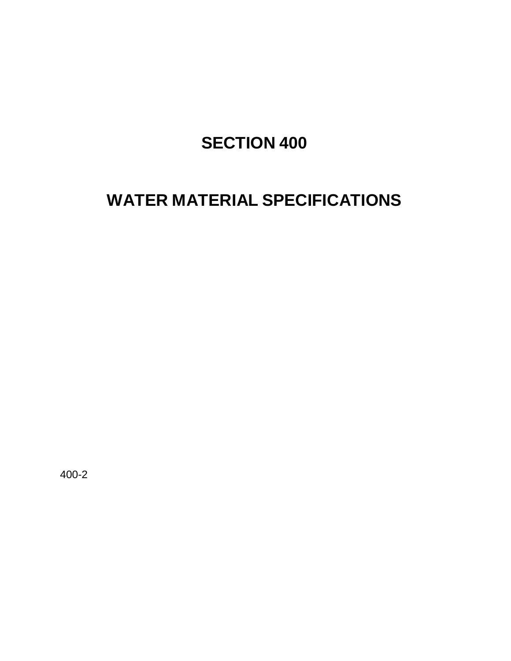# **SECTION 400**

## **WATER MATERIAL SPECIFICATIONS**

400-2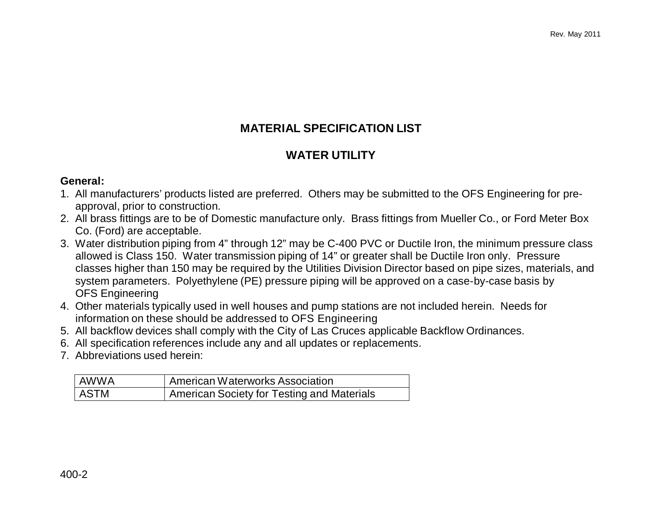### **MATERIAL SPECIFICATION LIST**

#### **WATER UTILITY**

#### **General:**

- 1. All manufacturers' products listed are preferred. Others may be submitted to the OFS Engineering for preapproval, prior to construction.
- 2. All brass fittings are to be of Domestic manufacture only. Brass fittings from Mueller Co., or Ford Meter Box Co. (Ford) are acceptable.
- 3. Water distribution piping from 4" through 12" may be C-400 PVC or Ductile Iron, the minimum pressure class allowed is Class 150. Water transmission piping of 14" or greater shall be Ductile Iron only. Pressure classes higher than 150 may be required by the Utilities Division Director based on pipe sizes, materials, and system parameters. Polyethylene (PE) pressure piping will be approved on a case-by-case basis by OFS Engineering
- 4. Other materials typically used in well houses and pump stations are not included herein. Needs for information on these should be addressed to OFS Engineering
- 5. All backflow devices shall comply with the City of Las Cruces applicable Backflow Ordinances.
- 6. All specification references include any and all updates or replacements.
- 7. Abbreviations used herein:

| l AWWA | American Waterworks Association            |
|--------|--------------------------------------------|
| ASTM   | American Society for Testing and Materials |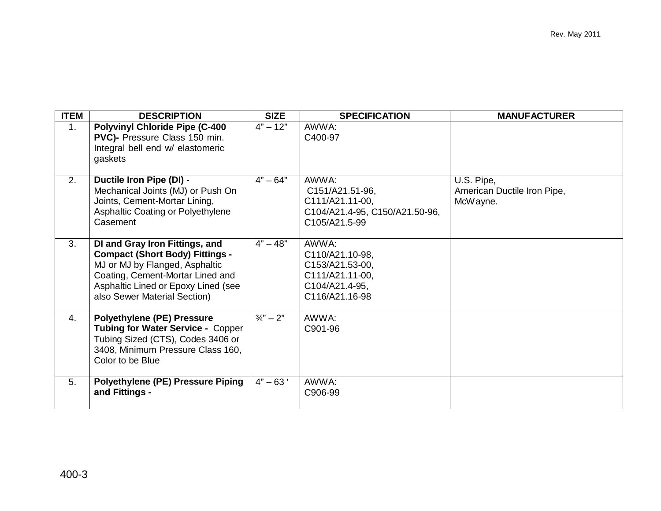| <b>ITEM</b> | <b>DESCRIPTION</b>                                                                                                                                                                                                    | <b>SIZE</b>          | <b>SPECIFICATION</b>                                                                               | <b>MANUFACTURER</b>                                   |
|-------------|-----------------------------------------------------------------------------------------------------------------------------------------------------------------------------------------------------------------------|----------------------|----------------------------------------------------------------------------------------------------|-------------------------------------------------------|
| 1.          | <b>Polyvinyl Chloride Pipe (C-400</b><br>PVC)- Pressure Class 150 min.<br>Integral bell end w/ elastomeric<br>gaskets                                                                                                 | $4" - 12"$           | AWWA:<br>C400-97                                                                                   |                                                       |
| 2.          | Ductile Iron Pipe (DI) -<br>Mechanical Joints (MJ) or Push On<br>Joints, Cement-Mortar Lining,<br>Asphaltic Coating or Polyethylene<br>Casement                                                                       | $4" - 64"$           | AWWA:<br>C151/A21.51-96,<br>C111/A21.11-00,<br>C104/A21.4-95, C150/A21.50-96,<br>C105/A21.5-99     | U.S. Pipe,<br>American Ductile Iron Pipe,<br>McWayne. |
| 3.          | DI and Gray Iron Fittings, and<br><b>Compact (Short Body) Fittings -</b><br>MJ or MJ by Flanged, Asphaltic<br>Coating, Cement-Mortar Lined and<br>Asphaltic Lined or Epoxy Lined (see<br>also Sewer Material Section) | $4" - 48"$           | AWWA:<br>C110/A21.10-98,<br>C153/A21.53-00,<br>C111/A21.11-00,<br>C104/A21.4-95,<br>C116/A21.16-98 |                                                       |
| 4.          | <b>Polyethylene (PE) Pressure</b><br>Tubing for Water Service - Copper<br>Tubing Sized (CTS), Codes 3406 or<br>3408, Minimum Pressure Class 160,<br>Color to be Blue                                                  | $\frac{3}{4}$ " – 2" | AWWA:<br>C901-96                                                                                   |                                                       |
| 5.          | <b>Polyethylene (PE) Pressure Piping</b><br>and Fittings -                                                                                                                                                            | $4" - 63'$           | AWWA:<br>C906-99                                                                                   |                                                       |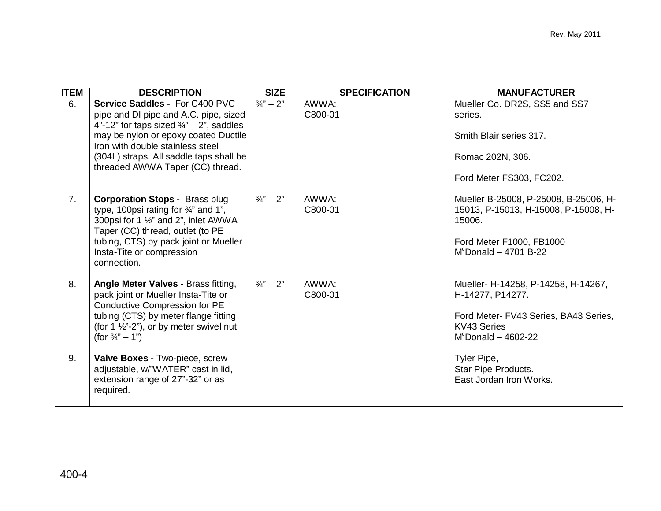| <b>ITEM</b> | <b>DESCRIPTION</b>                                                                                                                                                                                                                                                                        | <b>SIZE</b>          | <b>SPECIFICATION</b> | <b>MANUFACTURER</b>                                                                                                                             |
|-------------|-------------------------------------------------------------------------------------------------------------------------------------------------------------------------------------------------------------------------------------------------------------------------------------------|----------------------|----------------------|-------------------------------------------------------------------------------------------------------------------------------------------------|
| 6.          | Service Saddles - For C400 PVC<br>pipe and DI pipe and A.C. pipe, sized<br>4"-12" for taps sized $\frac{3}{4}$ " - 2", saddles<br>may be nylon or epoxy coated Ductile<br>Iron with double stainless steel<br>(304L) straps. All saddle taps shall be<br>threaded AWWA Taper (CC) thread. | $\frac{3}{4}$ " – 2" | AWWA:<br>C800-01     | Mueller Co. DR2S, SS5 and SS7<br>series.<br>Smith Blair series 317.<br>Romac 202N, 306.<br>Ford Meter FS303, FC202.                             |
| 7.          | <b>Corporation Stops - Brass plug</b><br>type, 100psi rating for $\frac{3}{4}$ and 1",<br>300psi for 1 1/2" and 2", inlet AWWA<br>Taper (CC) thread, outlet (to PE<br>tubing, CTS) by pack joint or Mueller<br>Insta-Tite or compression<br>connection.                                   | $\frac{3}{4}$ " – 2" | AWWA:<br>C800-01     | Mueller B-25008, P-25008, B-25006, H-<br>15013, P-15013, H-15008, P-15008, H-<br>15006.<br>Ford Meter F1000, FB1000<br>$M^c$ Donald - 4701 B-22 |
| 8.          | Angle Meter Valves - Brass fitting,<br>pack joint or Mueller Insta-Tite or<br><b>Conductive Compression for PE</b><br>tubing (CTS) by meter flange fitting<br>(for 1 $\frac{1}{2}$ "-2"), or by meter swivel nut<br>(for $\frac{3}{4}$ " – 1")                                            | $\frac{3}{4}$ " – 2" | AWWA:<br>C800-01     | Mueller- H-14258, P-14258, H-14267,<br>H-14277, P14277.<br>Ford Meter- FV43 Series, BA43 Series,<br>KV43 Series<br>$M^c$ Donald - 4602-22       |
| 9.          | Valve Boxes - Two-piece, screw<br>adjustable, w/"WATER" cast in lid,<br>extension range of 27"-32" or as<br>required.                                                                                                                                                                     |                      |                      | Tyler Pipe,<br>Star Pipe Products.<br>East Jordan Iron Works.                                                                                   |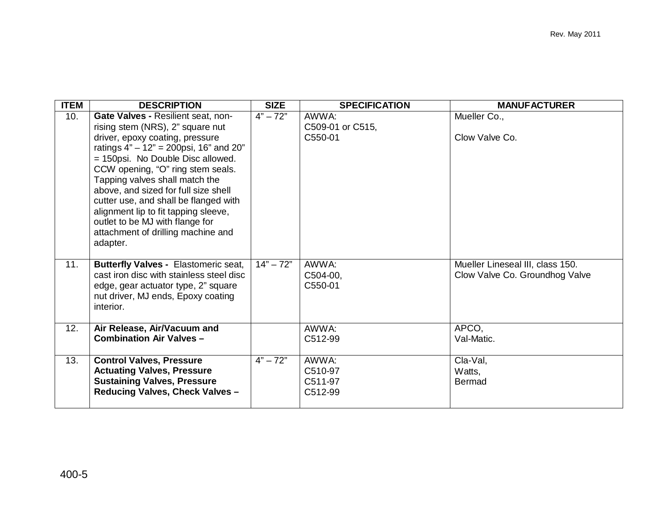| <b>ITEM</b> | <b>DESCRIPTION</b>                                                                                                                                                                                                                                                                                                                                                                                                                                                               | <b>SIZE</b> | <b>SPECIFICATION</b>                   | <b>MANUFACTURER</b>                                                |
|-------------|----------------------------------------------------------------------------------------------------------------------------------------------------------------------------------------------------------------------------------------------------------------------------------------------------------------------------------------------------------------------------------------------------------------------------------------------------------------------------------|-------------|----------------------------------------|--------------------------------------------------------------------|
| 10.         | Gate Valves - Resilient seat, non-<br>rising stem (NRS), 2" square nut<br>driver, epoxy coating, pressure<br>ratings $4" - 12" = 200$ psi, 16" and 20"<br>= 150psi. No Double Disc allowed.<br>CCW opening, "O" ring stem seals.<br>Tapping valves shall match the<br>above, and sized for full size shell<br>cutter use, and shall be flanged with<br>alignment lip to fit tapping sleeve,<br>outlet to be MJ with flange for<br>attachment of drilling machine and<br>adapter. | $4" - 72"$  | AWWA:<br>C509-01 or C515,<br>C550-01   | Mueller Co.,<br>Clow Valve Co.                                     |
| 11.         | <b>Butterfly Valves - Elastomeric seat,</b><br>cast iron disc with stainless steel disc<br>edge, gear actuator type, 2" square<br>nut driver, MJ ends, Epoxy coating<br>interior.                                                                                                                                                                                                                                                                                                | $14" - 72"$ | AWWA:<br>C504-00,<br>C550-01           | Mueller Lineseal III, class 150.<br>Clow Valve Co. Groundhog Valve |
| 12.         | Air Release, Air/Vacuum and<br><b>Combination Air Valves -</b>                                                                                                                                                                                                                                                                                                                                                                                                                   |             | AWWA:<br>C512-99                       | APCO,<br>Val-Matic.                                                |
| 13.         | <b>Control Valves, Pressure</b><br><b>Actuating Valves, Pressure</b><br><b>Sustaining Valves, Pressure</b><br>Reducing Valves, Check Valves -                                                                                                                                                                                                                                                                                                                                    | $4" - 72"$  | AWWA:<br>C510-97<br>C511-97<br>C512-99 | Cla-Val,<br>Watts,<br><b>Bermad</b>                                |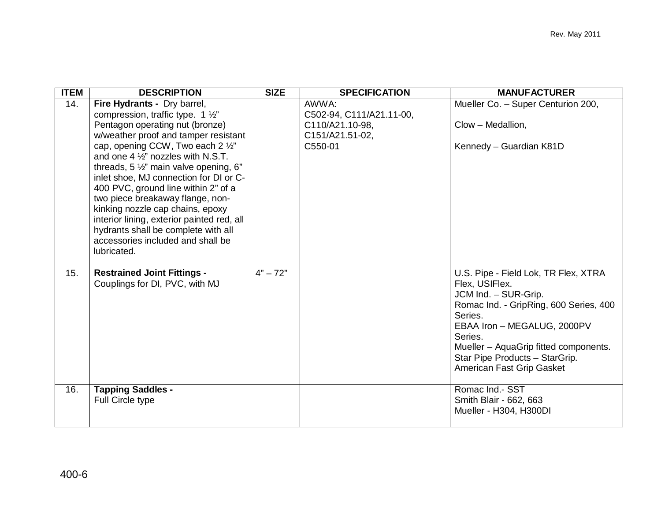| <b>ITEM</b> | <b>DESCRIPTION</b>                                                                                                                                                                                                                                                                                                                                                                                                                                                                                                                                                                                  | <b>SIZE</b> | <b>SPECIFICATION</b>                                                               | <b>MANUFACTURER</b>                                                                                                                                                                                                                                                                   |
|-------------|-----------------------------------------------------------------------------------------------------------------------------------------------------------------------------------------------------------------------------------------------------------------------------------------------------------------------------------------------------------------------------------------------------------------------------------------------------------------------------------------------------------------------------------------------------------------------------------------------------|-------------|------------------------------------------------------------------------------------|---------------------------------------------------------------------------------------------------------------------------------------------------------------------------------------------------------------------------------------------------------------------------------------|
| 14.         | Fire Hydrants - Dry barrel,<br>compression, traffic type. 1 $\frac{1}{2}$ "<br>Pentagon operating nut (bronze)<br>w/weather proof and tamper resistant<br>cap, opening CCW, Two each 2 1/2"<br>and one 4 $\frac{1}{2}$ " nozzles with N.S.T.<br>threads, 5 $\frac{1}{2}$ " main valve opening, 6"<br>inlet shoe, MJ connection for DI or C-<br>400 PVC, ground line within 2" of a<br>two piece breakaway flange, non-<br>kinking nozzle cap chains, epoxy<br>interior lining, exterior painted red, all<br>hydrants shall be complete with all<br>accessories included and shall be<br>lubricated. |             | AWWA:<br>C502-94, C111/A21.11-00,<br>C110/A21.10-98,<br>C151/A21.51-02,<br>C550-01 | Mueller Co. - Super Centurion 200,<br>Clow - Medallion,<br>Kennedy - Guardian K81D                                                                                                                                                                                                    |
| 15.         | <b>Restrained Joint Fittings -</b><br>Couplings for DI, PVC, with MJ                                                                                                                                                                                                                                                                                                                                                                                                                                                                                                                                | $4" - 72"$  |                                                                                    | U.S. Pipe - Field Lok, TR Flex, XTRA<br>Flex, USIFlex.<br>JCM Ind. - SUR-Grip.<br>Romac Ind. - GripRing, 600 Series, 400<br>Series.<br>EBAA Iron - MEGALUG, 2000PV<br>Series.<br>Mueller - AquaGrip fitted components.<br>Star Pipe Products - StarGrip.<br>American Fast Grip Gasket |
| 16.         | <b>Tapping Saddles -</b><br><b>Full Circle type</b>                                                                                                                                                                                                                                                                                                                                                                                                                                                                                                                                                 |             |                                                                                    | Romac Ind.- SST<br>Smith Blair - 662, 663<br>Mueller - H304, H300DI                                                                                                                                                                                                                   |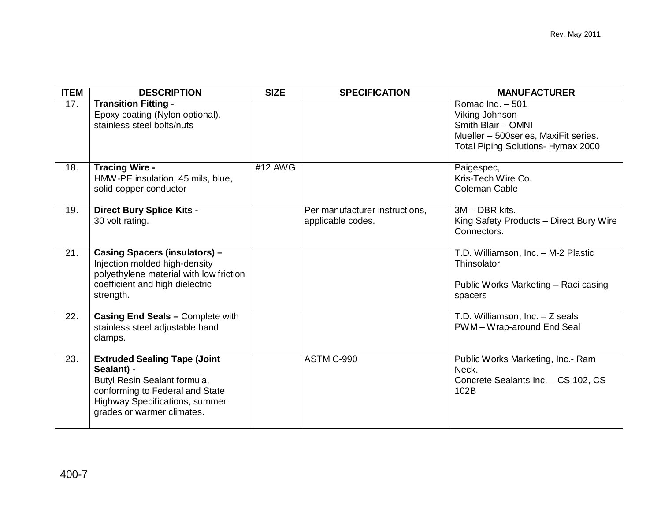| <b>ITEM</b> | <b>DESCRIPTION</b>                                                                                                                                                                          | <b>SIZE</b> | <b>SPECIFICATION</b>                                | <b>MANUFACTURER</b>                                                                                                                             |
|-------------|---------------------------------------------------------------------------------------------------------------------------------------------------------------------------------------------|-------------|-----------------------------------------------------|-------------------------------------------------------------------------------------------------------------------------------------------------|
| 17.         | <b>Transition Fitting -</b><br>Epoxy coating (Nylon optional),<br>stainless steel bolts/nuts                                                                                                |             |                                                     | Romac Ind. $-501$<br>Viking Johnson<br>Smith Blair - OMNI<br>Mueller - 500 series, MaxiFit series.<br><b>Total Piping Solutions- Hymax 2000</b> |
| 18.         | <b>Tracing Wire -</b><br>HMW-PE insulation, 45 mils, blue,<br>solid copper conductor                                                                                                        | #12 AWG     |                                                     | Paigespec,<br>Kris-Tech Wire Co.<br><b>Coleman Cable</b>                                                                                        |
| 19.         | <b>Direct Bury Splice Kits -</b><br>30 volt rating.                                                                                                                                         |             | Per manufacturer instructions,<br>applicable codes. | 3M - DBR kits.<br>King Safety Products - Direct Bury Wire<br>Connectors.                                                                        |
| 21.         | <b>Casing Spacers (insulators) -</b><br>Injection molded high-density<br>polyethylene material with low friction<br>coefficient and high dielectric<br>strength.                            |             |                                                     | T.D. Williamson, Inc. - M-2 Plastic<br>Thinsolator<br>Public Works Marketing - Raci casing<br>spacers                                           |
| 22.         | Casing End Seals - Complete with<br>stainless steel adjustable band<br>clamps.                                                                                                              |             |                                                     | T.D. Williamson, Inc. - Z seals<br>PWM-Wrap-around End Seal                                                                                     |
| 23.         | <b>Extruded Sealing Tape (Joint</b><br>Sealant) -<br>Butyl Resin Sealant formula,<br>conforming to Federal and State<br><b>Highway Specifications, summer</b><br>grades or warmer climates. |             | ASTM C-990                                          | Public Works Marketing, Inc.- Ram<br>Neck.<br>Concrete Sealants Inc. - CS 102, CS<br>102B                                                       |